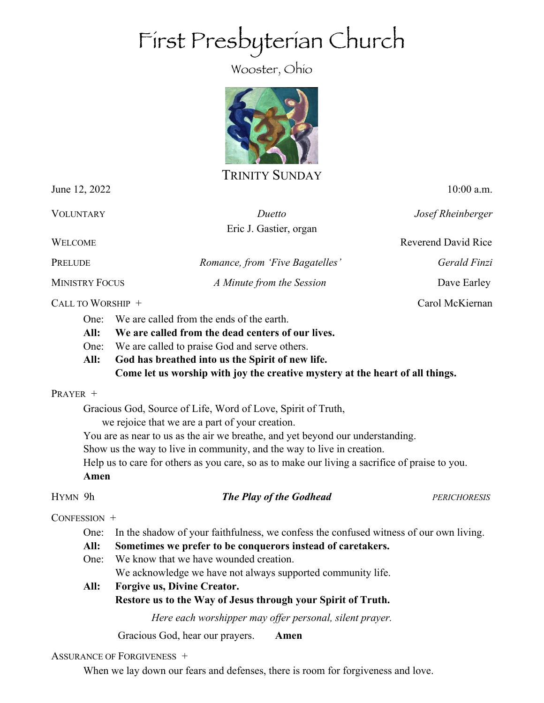# First Presbyterian Church

Wooster, Ohio



TRINITY SUNDAY

June 12, 2022 10:00 a.m.

VOLUNTARY *Duetto Josef Rheinberger*

WELCOME Reverend David Rice

PRELUDE *Romance, from 'Five Bagatelles' Gerald Finzi*

Eric J. Gastier, organ

MINISTRY FOCUS *A Minute from the Session* Dave Earley

CALL TO WORSHIP + Carol McKiernan

- One: We are called from the ends of the earth.
- **All: We are called from the dead centers of our lives.**
- One: We are called to praise God and serve others.
- **All: God has breathed into us the Spirit of new life. Come let us worship with joy the creative mystery at the heart of all things.**

## PRAYER +

Gracious God, Source of Life, Word of Love, Spirit of Truth,

we rejoice that we are a part of your creation.

You are as near to us as the air we breathe, and yet beyond our understanding.

Show us the way to live in community, and the way to live in creation.

Help us to care for others as you care, so as to make our living a sacrifice of praise to you.

# **Amen**

# HYMN 9h *The Play of the Godhead PERICHORESIS*

CONFESSION +

One: In the shadow of your faithfulness, we confess the confused witness of our own living.

- **All: Sometimes we prefer to be conquerors instead of caretakers.**
- One: We know that we have wounded creation. We acknowledge we have not always supported community life.

**All: Forgive us, Divine Creator. Restore us to the Way of Jesus through your Spirit of Truth.** 

*Here each worshipper may offer personal, silent prayer.*

Gracious God, hear our prayers. **Amen**

## ASSURANCE OF FORGIVENESS +

When we lay down our fears and defenses, there is room for forgiveness and love.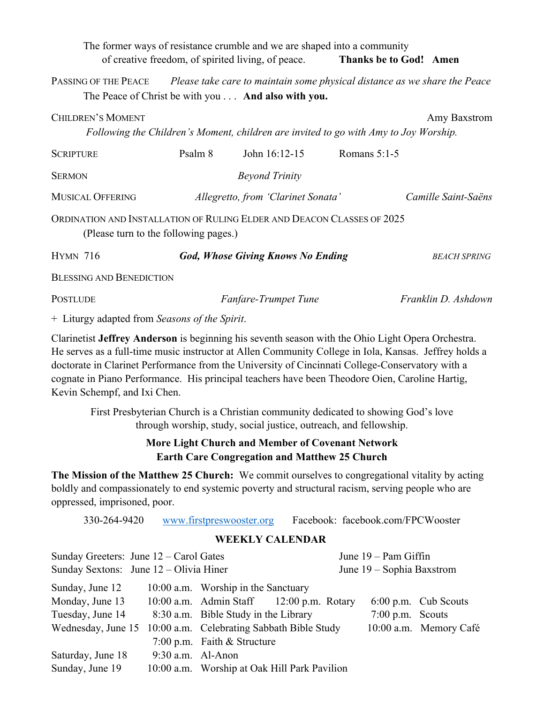The former ways of resistance crumble and we are shaped into a community of creative freedom, of spirited living, of peace. **Thanks be to God! Amen** PASSING OF THE PEACE *Please take care to maintain some physical distance as we share the Peace* The Peace of Christ be with you . . . **And also with you. CHILDREN'S MOMENT** Amy Baxstrom *Following the Children's Moment, children are invited to go with Amy to Joy Worship.* SCRIPTURE Psalm 8 John 16:12-15 Romans 5:1-5 SERMON *Beyond Trinity* MUSICAL OFFERING *Allegretto, from 'Clarinet Sonata' Camille Saint-Saëns* ORDINATION AND INSTALLATION OF RULING ELDER AND DEACON CLASSES OF 2025 (Please turn to the following pages.) HYMN 716 *God, Whose Giving Knows No Ending BEACH SPRING* BLESSING AND BENEDICTION POSTLUDE *Fanfare-Trumpet Tune Franklin D. Ashdown* 

+ Liturgy adapted from *Seasons of the Spirit*.

Clarinetist **Jeffrey Anderson** is beginning his seventh season with the Ohio Light Opera Orchestra. He serves as a full-time music instructor at Allen Community College in Iola, Kansas. Jeffrey holds a doctorate in Clarinet Performance from the University of Cincinnati College-Conservatory with a cognate in Piano Performance. His principal teachers have been Theodore Oien, Caroline Hartig, Kevin Schempf, and Ixi Chen.

First Presbyterian Church is a Christian community dedicated to showing God's love through worship, study, social justice, outreach, and fellowship.

# **More Light Church and Member of Covenant Network Earth Care Congregation and Matthew 25 Church**

**The Mission of the Matthew 25 Church:** We commit ourselves to congregational vitality by acting boldly and compassionately to end systemic poverty and structural racism, serving people who are oppressed, imprisoned, poor.

330-264-9420 www.firstpreswooster.org Facebook: facebook.com/FPCWooster

|                                                               |                     | $\ldots$ $\ldots$ $\ldots$ $\ldots$ $\ldots$ $\ldots$ $\ldots$ $\ldots$ $\ldots$ $\ldots$ $\ldots$ $\ldots$ $\ldots$ $\ldots$ $\ldots$ $\ldots$ $\ldots$ $\ldots$ $\ldots$ $\ldots$ $\ldots$ $\ldots$ $\ldots$ $\ldots$ $\ldots$ $\ldots$ $\ldots$ $\ldots$ $\ldots$ $\ldots$ $\ldots$ $\ldots$ $\ldots$ $\ldots$ $\ldots$ $\ldots$ $\ldots$ |                           |                    |                        |
|---------------------------------------------------------------|---------------------|----------------------------------------------------------------------------------------------------------------------------------------------------------------------------------------------------------------------------------------------------------------------------------------------------------------------------------------------|---------------------------|--------------------|------------------------|
| <b>WEEKLY CALENDAR</b>                                        |                     |                                                                                                                                                                                                                                                                                                                                              |                           |                    |                        |
| Sunday Greeters: June $12 -$ Carol Gates                      |                     |                                                                                                                                                                                                                                                                                                                                              | June $19 -$ Pam Giffin    |                    |                        |
| Sunday Sextons: June 12 – Olivia Hiner                        |                     |                                                                                                                                                                                                                                                                                                                                              | June 19 – Sophia Baxstrom |                    |                        |
| Sunday, June 12                                               |                     | 10:00 a.m. Worship in the Sanctuary                                                                                                                                                                                                                                                                                                          |                           |                    |                        |
| Monday, June 13                                               |                     | 10:00 a.m. Admin Staff $12:00$ p.m. Rotary                                                                                                                                                                                                                                                                                                   |                           |                    | 6:00 p.m. Cub Scouts   |
| Tuesday, June 14                                              |                     | 8:30 a.m. Bible Study in the Library                                                                                                                                                                                                                                                                                                         |                           | $7:00$ p.m. Scouts |                        |
| Wednesday, June 15 10:00 a.m. Celebrating Sabbath Bible Study |                     |                                                                                                                                                                                                                                                                                                                                              |                           |                    | 10:00 a.m. Memory Café |
|                                                               |                     | 7:00 p.m. Faith $&$ Structure                                                                                                                                                                                                                                                                                                                |                           |                    |                        |
| Saturday, June 18                                             | $9:30$ a.m. Al-Anon |                                                                                                                                                                                                                                                                                                                                              |                           |                    |                        |
| Sunday, June 19                                               |                     | 10:00 a.m. Worship at Oak Hill Park Pavilion                                                                                                                                                                                                                                                                                                 |                           |                    |                        |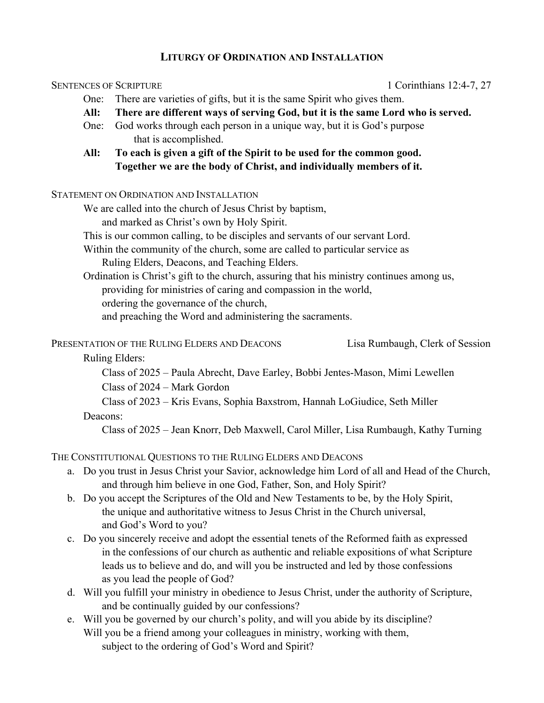## **LITURGY OF ORDINATION AND INSTALLATION**

#### SENTENCES OF SCRIPTURE 1 Corinthians 12:4-7, 27

- One: There are varieties of gifts, but it is the same Spirit who gives them.
- **All: There are different ways of serving God, but it is the same Lord who is served.**
- One: God works through each person in a unique way, but it is God's purpose that is accomplished.
- **All: To each is given a gift of the Spirit to be used for the common good. Together we are the body of Christ, and individually members of it.**

#### STATEMENT ON ORDINATION AND INSTALLATION

- We are called into the church of Jesus Christ by baptism, and marked as Christ's own by Holy Spirit.
- This is our common calling, to be disciples and servants of our servant Lord.
- Within the community of the church, some are called to particular service as Ruling Elders, Deacons, and Teaching Elders.
- Ordination is Christ's gift to the church, assuring that his ministry continues among us, providing for ministries of caring and compassion in the world, ordering the governance of the church,
	- and preaching the Word and administering the sacraments.

PRESENTATION OF THE RULING ELDERS AND DEACONS Lisa Rumbaugh, Clerk of Session

## Ruling Elders:

 Class of 2025 – Paula Abrecht, Dave Earley, Bobbi Jentes-Mason, Mimi Lewellen Class of 2024 – Mark Gordon

Class of 2023 – Kris Evans, Sophia Baxstrom, Hannah LoGiudice, Seth Miller

## Deacons:

Class of 2025 – Jean Knorr, Deb Maxwell, Carol Miller, Lisa Rumbaugh, Kathy Turning

# THE CONSTITUTIONAL QUESTIONS TO THE RULING ELDERS AND DEACONS

- a. Do you trust in Jesus Christ your Savior, acknowledge him Lord of all and Head of the Church, and through him believe in one God, Father, Son, and Holy Spirit?
- b. Do you accept the Scriptures of the Old and New Testaments to be, by the Holy Spirit, the unique and authoritative witness to Jesus Christ in the Church universal, and God's Word to you?
- c. Do you sincerely receive and adopt the essential tenets of the Reformed faith as expressed in the confessions of our church as authentic and reliable expositions of what Scripture leads us to believe and do, and will you be instructed and led by those confessions as you lead the people of God?
- d. Will you fulfill your ministry in obedience to Jesus Christ, under the authority of Scripture, and be continually guided by our confessions?
- e. Will you be governed by our church's polity, and will you abide by its discipline? Will you be a friend among your colleagues in ministry, working with them, subject to the ordering of God's Word and Spirit?